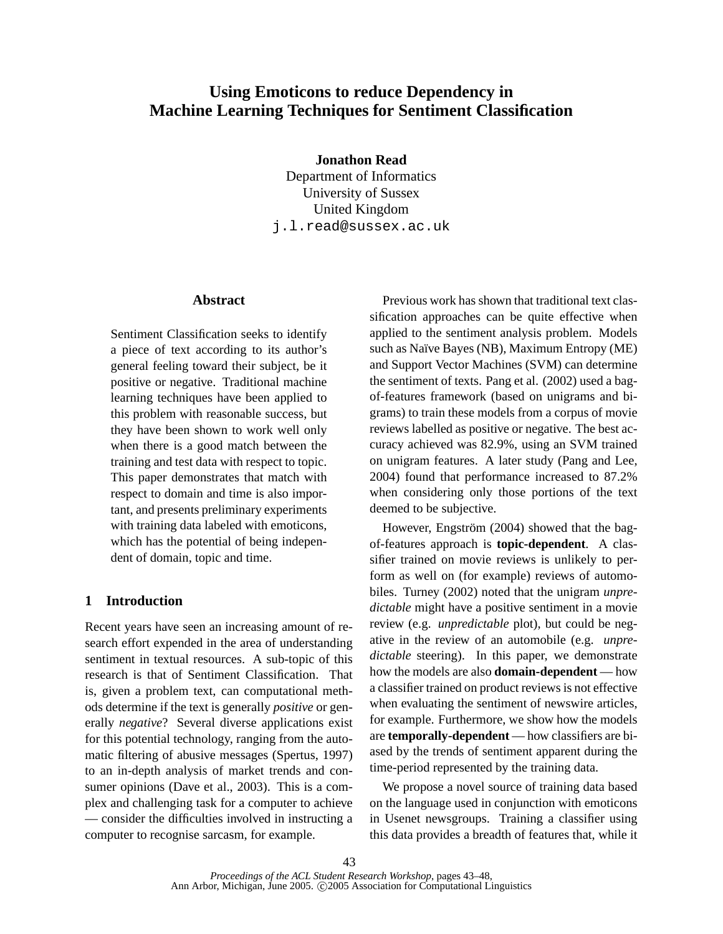# **Using Emoticons to reduce Dependency in Machine Learning Techniques for Sentiment Classification**

**Jonathon Read**

Department of Informatics University of Sussex United Kingdom j.l.read@sussex.ac.uk

## **Abstract**

Sentiment Classification seeks to identify a piece of text according to its author's general feeling toward their subject, be it positive or negative. Traditional machine learning techniques have been applied to this problem with reasonable success, but they have been shown to work well only when there is a good match between the training and test data with respect to topic. This paper demonstrates that match with respect to domain and time is also important, and presents preliminary experiments with training data labeled with emoticons, which has the potential of being independent of domain, topic and time.

# **1 Introduction**

Recent years have seen an increasing amount of research effort expended in the area of understanding sentiment in textual resources. A sub-topic of this research is that of Sentiment Classification. That is, given a problem text, can computational methods determine if the text is generally *positive* or generally *negative*? Several diverse applications exist for this potential technology, ranging from the automatic filtering of abusive messages (Spertus, 1997) to an in-depth analysis of market trends and consumer opinions (Dave et al., 2003). This is a complex and challenging task for a computer to achieve — consider the difficulties involved in instructing a computer to recognise sarcasm, for example.

Previous work has shown that traditional text classification approaches can be quite effective when applied to the sentiment analysis problem. Models such as Naïve Bayes (NB), Maximum Entropy (ME) and Support Vector Machines (SVM) can determine the sentiment of texts. Pang et al. (2002) used a bagof-features framework (based on unigrams and bigrams) to train these models from a corpus of movie reviews labelled as positive or negative. The best accuracy achieved was 82.9%, using an SVM trained on unigram features. A later study (Pang and Lee, 2004) found that performance increased to 87.2% when considering only those portions of the text deemed to be subjective.

However, Engström (2004) showed that the bagof-features approach is **topic-dependent**. A classifier trained on movie reviews is unlikely to perform as well on (for example) reviews of automobiles. Turney (2002) noted that the unigram *unpredictable* might have a positive sentiment in a movie review (e.g. *unpredictable* plot), but could be negative in the review of an automobile (e.g. *unpredictable* steering). In this paper, we demonstrate how the models are also **domain-dependent** — how a classifier trained on product reviews is not effective when evaluating the sentiment of newswire articles, for example. Furthermore, we show how the models are **temporally-dependent** — how classifiers are biased by the trends of sentiment apparent during the time-period represented by the training data.

We propose a novel source of training data based on the language used in conjunction with emoticons in Usenet newsgroups. Training a classifier using this data provides a breadth of features that, while it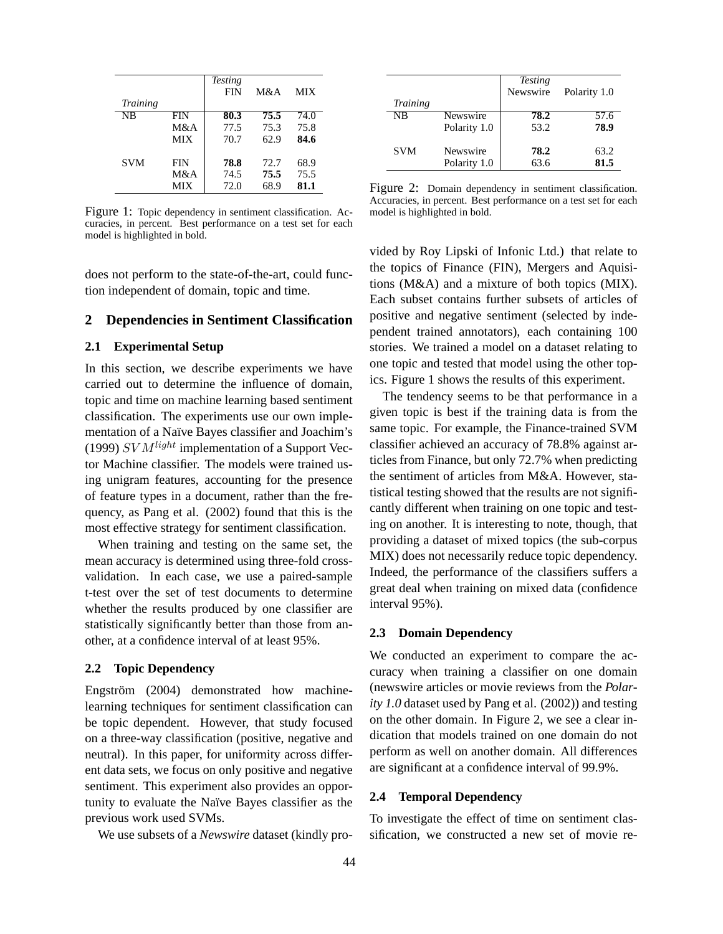|                 |            | <b>Testing</b><br><b>FIN</b> | M&A  | <b>MIX</b> |
|-----------------|------------|------------------------------|------|------------|
| <b>Training</b> |            |                              |      |            |
| NB              | <b>FIN</b> | 80.3                         | 75.5 | 74.0       |
|                 | M&A        | 77.5                         | 75.3 | 75.8       |
|                 | <b>MIX</b> | 70.7                         | 62.9 | 84.6       |
| <b>SVM</b>      | <b>FIN</b> | 78.8                         | 72.7 | 68.9       |
|                 | M&A        | 74.5                         | 75.5 | 75.5       |
|                 | <b>MIX</b> | 72.0                         | 68.9 | 81.1       |

Figure 1: Topic dependency in sentiment classification. Accuracies, in percent. Best performance on a test set for each model is highlighted in bold.

does not perform to the state-of-the-art, could function independent of domain, topic and time.

# **2 Dependencies in Sentiment Classification**

#### **2.1 Experimental Setup**

In this section, we describe experiments we have carried out to determine the influence of domain, topic and time on machine learning based sentiment classification. The experiments use our own implementation of a Naïve Bayes classifier and Joachim's (1999)  $SVM<sup>light</sup>$  implementation of a Support Vector Machine classifier. The models were trained using unigram features, accounting for the presence of feature types in a document, rather than the frequency, as Pang et al. (2002) found that this is the most effective strategy for sentiment classification.

When training and testing on the same set, the mean accuracy is determined using three-fold crossvalidation. In each case, we use a paired-sample t-test over the set of test documents to determine whether the results produced by one classifier are statistically significantly better than those from another, at a confidence interval of at least 95%.

## **2.2 Topic Dependency**

Engström (2004) demonstrated how machinelearning techniques for sentiment classification can be topic dependent. However, that study focused on a three-way classification (positive, negative and neutral). In this paper, for uniformity across different data sets, we focus on only positive and negative sentiment. This experiment also provides an opportunity to evaluate the Naïve Bayes classifier as the previous work used SVMs.

We use subsets of a *Newswire* dataset (kindly pro-

|                 |              | <b>Testing</b><br>Newswire | Polarity 1.0 |
|-----------------|--------------|----------------------------|--------------|
| <b>Training</b> |              |                            |              |
| <b>NB</b>       | Newswire     | 78.2                       | 57.6         |
|                 | Polarity 1.0 | 53.2                       | 78.9         |
|                 |              |                            |              |
| <b>SVM</b>      | Newswire     | 78.2                       | 63.2         |
|                 | Polarity 1.0 | 63.6                       | 81.5         |
|                 |              |                            |              |

Figure 2: Domain dependency in sentiment classification. Accuracies, in percent. Best performance on a test set for each model is highlighted in bold.

vided by Roy Lipski of Infonic Ltd.) that relate to the topics of Finance (FIN), Mergers and Aquisitions (M&A) and a mixture of both topics (MIX). Each subset contains further subsets of articles of positive and negative sentiment (selected by independent trained annotators), each containing 100 stories. We trained a model on a dataset relating to one topic and tested that model using the other topics. Figure 1 shows the results of this experiment.

The tendency seems to be that performance in a given topic is best if the training data is from the same topic. For example, the Finance-trained SVM classifier achieved an accuracy of 78.8% against articles from Finance, but only 72.7% when predicting the sentiment of articles from M&A. However, statistical testing showed that the results are not significantly different when training on one topic and testing on another. It is interesting to note, though, that providing a dataset of mixed topics (the sub-corpus MIX) does not necessarily reduce topic dependency. Indeed, the performance of the classifiers suffers a great deal when training on mixed data (confidence interval 95%).

#### **2.3 Domain Dependency**

We conducted an experiment to compare the accuracy when training a classifier on one domain (newswire articles or movie reviews from the *Polarity 1.0* dataset used by Pang et al. (2002)) and testing on the other domain. In Figure 2, we see a clear indication that models trained on one domain do not perform as well on another domain. All differences are significant at a confidence interval of 99.9%.

#### **2.4 Temporal Dependency**

To investigate the effect of time on sentiment classification, we constructed a new set of movie re-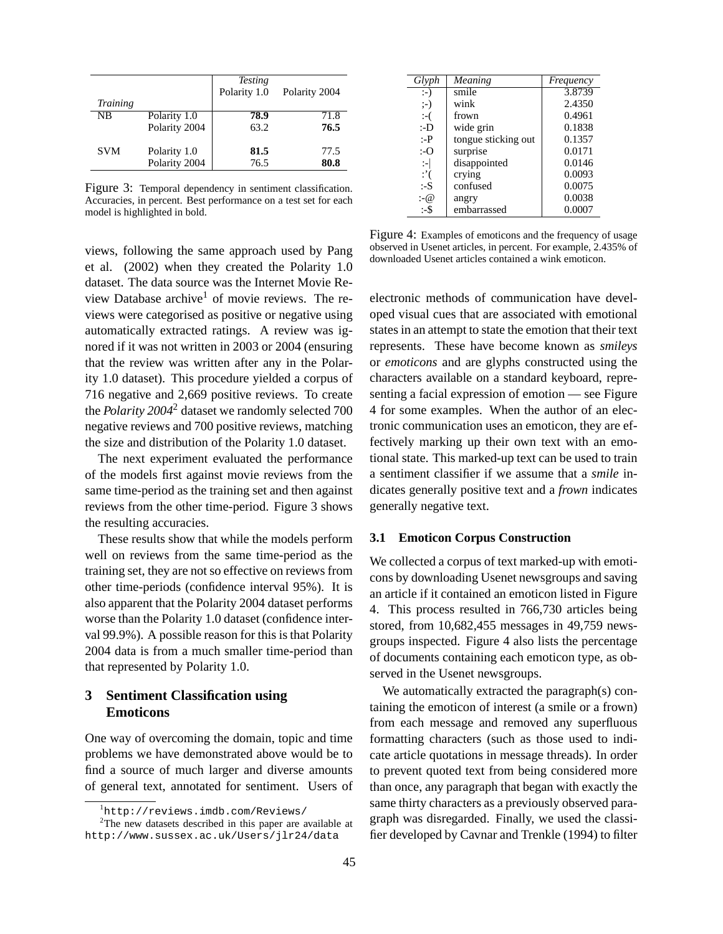| <b>Training</b> |               | <b>Testing</b><br>Polarity 1.0 | Polarity 2004 |
|-----------------|---------------|--------------------------------|---------------|
| <b>NB</b>       | Polarity 1.0  | 78.9                           | 71.8          |
|                 | Polarity 2004 | 63.2                           | 76.5          |
| <b>SVM</b>      | Polarity 1.0  | 81.5                           | 77.5          |
|                 | Polarity 2004 | 76.5                           | 80.8          |

Figure 3: Temporal dependency in sentiment classification. Accuracies, in percent. Best performance on a test set for each model is highlighted in bold.

views, following the same approach used by Pang et al. (2002) when they created the Polarity 1.0 dataset. The data source was the Internet Movie Review Database archive<sup>1</sup> of movie reviews. The reviews were categorised as positive or negative using automatically extracted ratings. A review was ignored if it was not written in 2003 or 2004 (ensuring that the review was written after any in the Polarity 1.0 dataset). This procedure yielded a corpus of 716 negative and 2,669 positive reviews. To create the *Polarity 2004*<sup>2</sup> dataset we randomly selected 700 negative reviews and 700 positive reviews, matching the size and distribution of the Polarity 1.0 dataset.

The next experiment evaluated the performance of the models first against movie reviews from the same time-period as the training set and then against reviews from the other time-period. Figure 3 shows the resulting accuracies.

These results show that while the models perform well on reviews from the same time-period as the training set, they are not so effective on reviews from other time-periods (confidence interval 95%). It is also apparent that the Polarity 2004 dataset performs worse than the Polarity 1.0 dataset (confidence interval 99.9%). A possible reason for this is that Polarity 2004 data is from a much smaller time-period than that represented by Polarity 1.0.

# **3 Sentiment Classification using Emoticons**

One way of overcoming the domain, topic and time problems we have demonstrated above would be to find a source of much larger and diverse amounts of general text, annotated for sentiment. Users of

| Glyph                  | Meaning             | Frequency |
|------------------------|---------------------|-----------|
| $:-)$                  | smile               | 3.8739    |
| $:-)$                  | wink                | 2.4350    |
| $:-($                  | frown               | 0.4961    |
| :-D                    | wide grin           | 0.1838    |
| :-P                    | tongue sticking out | 0.1357    |
| :-O                    | surprise            | 0.0171    |
| $\left  \cdot \right $ | disappointed        | 0.0146    |
| $:^{\prime}$           | crying              | 0.0093    |
| :-S                    | confused            | 0.0075    |
| : (a)                  | angry               | 0.0038    |
| :-\$                   | embarrassed         | 0.0007    |

Figure 4: Examples of emoticons and the frequency of usage observed in Usenet articles, in percent. For example, 2.435% of downloaded Usenet articles contained a wink emoticon.

electronic methods of communication have developed visual cues that are associated with emotional states in an attempt to state the emotion that their text represents. These have become known as *smileys* or *emoticons* and are glyphs constructed using the characters available on a standard keyboard, representing a facial expression of emotion — see Figure 4 for some examples. When the author of an electronic communication uses an emoticon, they are effectively marking up their own text with an emotional state. This marked-up text can be used to train a sentiment classifier if we assume that a *smile* indicates generally positive text and a *frown* indicates generally negative text.

## **3.1 Emoticon Corpus Construction**

We collected a corpus of text marked-up with emoticons by downloading Usenet newsgroups and saving an article if it contained an emoticon listed in Figure 4. This process resulted in 766,730 articles being stored, from 10,682,455 messages in 49,759 newsgroups inspected. Figure 4 also lists the percentage of documents containing each emoticon type, as observed in the Usenet newsgroups.

We automatically extracted the paragraph(s) containing the emoticon of interest (a smile or a frown) from each message and removed any superfluous formatting characters (such as those used to indicate article quotations in message threads). In order to prevent quoted text from being considered more than once, any paragraph that began with exactly the same thirty characters as a previously observed paragraph was disregarded. Finally, we used the classifier developed by Cavnar and Trenkle (1994) to filter

<sup>1</sup>http://reviews.imdb.com/Reviews/

<sup>&</sup>lt;sup>2</sup>The new datasets described in this paper are available at http://www.sussex.ac.uk/Users/jlr24/data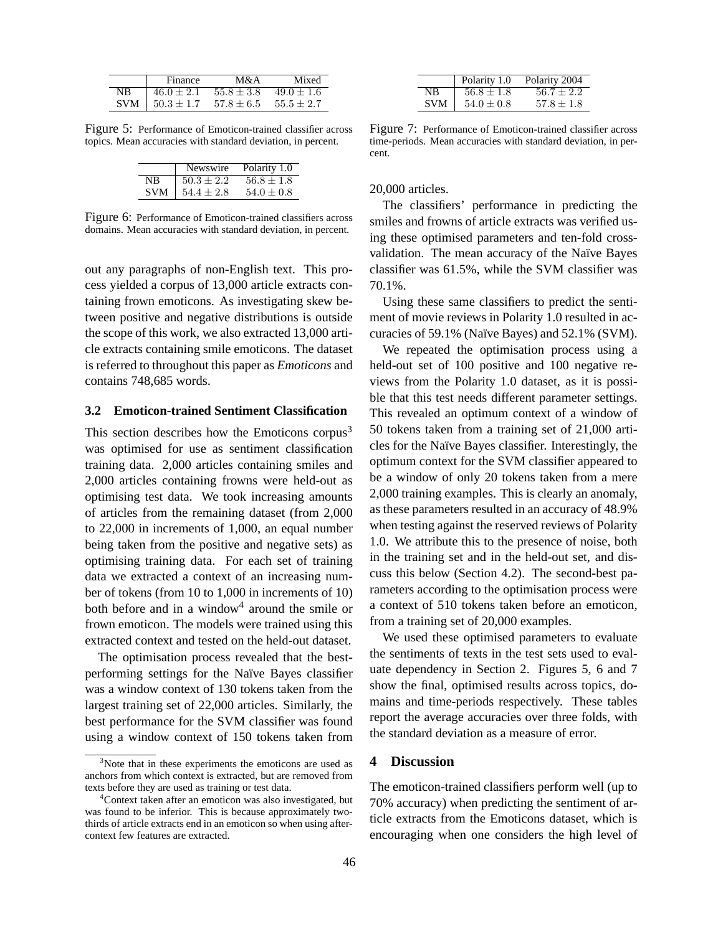|     | Finance           | M&A                           | Mixed          |
|-----|-------------------|-------------------------------|----------------|
| NΒ  | $46.0 \pm 2.1$    | $55.8 \pm 3.8$                | $49.0 \pm 1.6$ |
| SVM | $1\,50.3 \pm 1.7$ | $57.8 \pm 6.5$ $55.5 \pm 2.7$ |                |

Figure 5: Performance of Emoticon-trained classifier across topics. Mean accuracies with standard deviation, in percent.

|            | Newswire       | Polarity 1.0   |
|------------|----------------|----------------|
| NB         | $50.3 \pm 2.2$ | $56.8 \pm 1.8$ |
| <b>SVM</b> | $54.4 \pm 2.8$ | $54.0 \pm 0.8$ |

Figure 6: Performance of Emoticon-trained classifiers across domains. Mean accuracies with standard deviation, in percent.

out any paragraphs of non-English text. This process yielded a corpus of 13,000 article extracts containing frown emoticons. As investigating skew between positive and negative distributions is outside the scope of this work, we also extracted 13,000 article extracts containing smile emoticons. The dataset is referred to throughout this paper as *Emoticons* and contains 748,685 words.

### **3.2 Emoticon-trained Sentiment Classification**

This section describes how the Emoticons corpus<sup>3</sup> was optimised for use as sentiment classification training data. 2,000 articles containing smiles and 2,000 articles containing frowns were held-out as optimising test data. We took increasing amounts of articles from the remaining dataset (from 2,000 to 22,000 in increments of 1,000, an equal number being taken from the positive and negative sets) as optimising training data. For each set of training data we extracted a context of an increasing number of tokens (from 10 to 1,000 in increments of 10) both before and in a window<sup>4</sup> around the smile or frown emoticon. The models were trained using this extracted context and tested on the held-out dataset.

The optimisation process revealed that the bestperforming settings for the Naïve Bayes classifier was a window context of 130 tokens taken from the largest training set of 22,000 articles. Similarly, the best performance for the SVM classifier was found using a window context of 150 tokens taken from

|                | Polarity 1.0   | Polarity 2004  |
|----------------|----------------|----------------|
| N <sub>R</sub> | $56.8 \pm 1.8$ | $56.7 \pm 2.2$ |
| <b>SVM</b>     | $54.0 \pm 0.8$ | $57.8 \pm 1.8$ |

Figure 7: Performance of Emoticon-trained classifier across time-periods. Mean accuracies with standard deviation, in percent.

#### 20,000 articles.

The classifiers' performance in predicting the smiles and frowns of article extracts was verified using these optimised parameters and ten-fold crossvalidation. The mean accuracy of the Naïve Bayes classifier was 61.5%, while the SVM classifier was 70.1%.

Using these same classifiers to predict the sentiment of movie reviews in Polarity 1.0 resulted in accuracies of 59.1% (Naïve Bayes) and 52.1% (SVM).

We repeated the optimisation process using a held-out set of 100 positive and 100 negative reviews from the Polarity 1.0 dataset, as it is possible that this test needs different parameter settings. This revealed an optimum context of a window of 50 tokens taken from a training set of 21,000 articles for the Na¨ıve Bayes classifier. Interestingly, the optimum context for the SVM classifier appeared to be a window of only 20 tokens taken from a mere 2,000 training examples. This is clearly an anomaly, as these parameters resulted in an accuracy of 48.9% when testing against the reserved reviews of Polarity 1.0. We attribute this to the presence of noise, both in the training set and in the held-out set, and discuss this below (Section 4.2). The second-best parameters according to the optimisation process were a context of 510 tokens taken before an emoticon, from a training set of 20,000 examples.

We used these optimised parameters to evaluate the sentiments of texts in the test sets used to evaluate dependency in Section 2. Figures 5, 6 and 7 show the final, optimised results across topics, domains and time-periods respectively. These tables report the average accuracies over three folds, with the standard deviation as a measure of error.

# **4 Discussion**

The emoticon-trained classifiers perform well (up to 70% accuracy) when predicting the sentiment of article extracts from the Emoticons dataset, which is encouraging when one considers the high level of

<sup>&</sup>lt;sup>3</sup>Note that in these experiments the emoticons are used as anchors from which context is extracted, but are removed from texts before they are used as training or test data.

<sup>4</sup>Context taken after an emoticon was also investigated, but was found to be inferior. This is because approximately twothirds of article extracts end in an emoticon so when using aftercontext few features are extracted.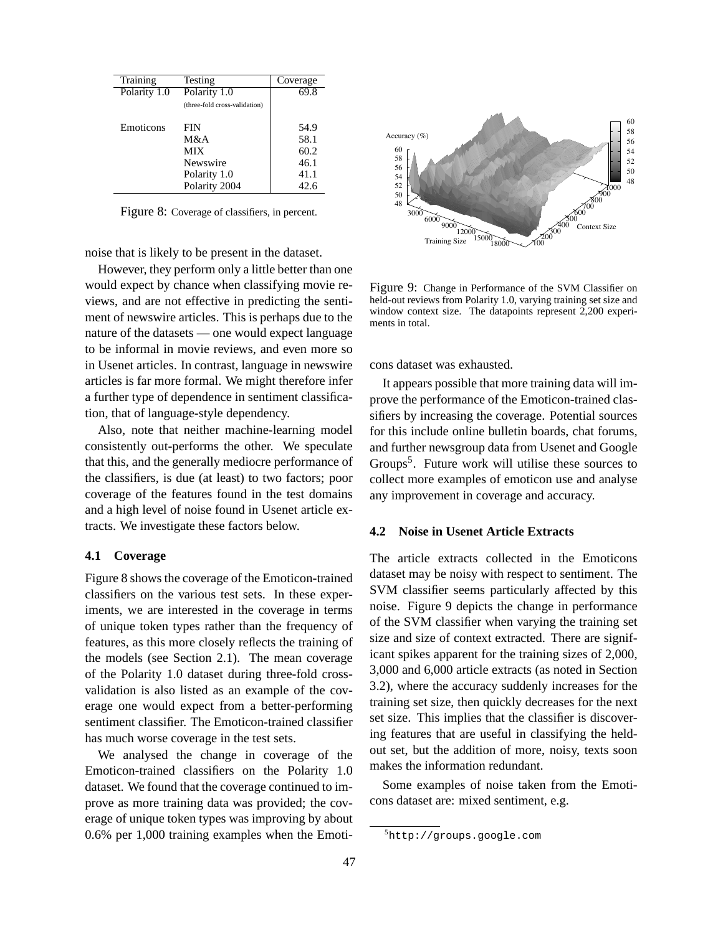| Training     | Testing                       | Coverage |
|--------------|-------------------------------|----------|
| Polarity 1.0 | Polarity 1.0                  | 69.8     |
|              | (three-fold cross-validation) |          |
| Emoticons    | FIN                           | 54.9     |
|              | M&A                           | 58.1     |
|              | МIХ                           | 60.2     |
|              | Newswire                      | 46.1     |
|              | Polarity 1.0                  | 41.1     |
|              | Polarity 2004                 | 42.6     |

Figure 8: Coverage of classifiers, in percent.

noise that is likely to be present in the dataset.

However, they perform only a little better than one would expect by chance when classifying movie reviews, and are not effective in predicting the sentiment of newswire articles. This is perhaps due to the nature of the datasets — one would expect language to be informal in movie reviews, and even more so in Usenet articles. In contrast, language in newswire articles is far more formal. We might therefore infer a further type of dependence in sentiment classification, that of language-style dependency.

Also, note that neither machine-learning model consistently out-performs the other. We speculate that this, and the generally mediocre performance of the classifiers, is due (at least) to two factors; poor coverage of the features found in the test domains and a high level of noise found in Usenet article extracts. We investigate these factors below.

## **4.1 Coverage**

Figure 8 shows the coverage of the Emoticon-trained classifiers on the various test sets. In these experiments, we are interested in the coverage in terms of unique token types rather than the frequency of features, as this more closely reflects the training of the models (see Section 2.1). The mean coverage of the Polarity 1.0 dataset during three-fold crossvalidation is also listed as an example of the coverage one would expect from a better-performing sentiment classifier. The Emoticon-trained classifier has much worse coverage in the test sets.

We analysed the change in coverage of the Emoticon-trained classifiers on the Polarity 1.0 dataset. We found that the coverage continued to improve as more training data was provided; the coverage of unique token types was improving by about 0.6% per 1,000 training examples when the Emoti-



Figure 9: Change in Performance of the SVM Classifier on held-out reviews from Polarity 1.0, varying training set size and window context size. The datapoints represent 2,200 experiments in total.

cons dataset was exhausted.

It appears possible that more training data will improve the performance of the Emoticon-trained classifiers by increasing the coverage. Potential sources for this include online bulletin boards, chat forums, and further newsgroup data from Usenet and Google Groups<sup>5</sup>. Future work will utilise these sources to collect more examples of emoticon use and analyse any improvement in coverage and accuracy.

# **4.2 Noise in Usenet Article Extracts**

The article extracts collected in the Emoticons dataset may be noisy with respect to sentiment. The SVM classifier seems particularly affected by this noise. Figure 9 depicts the change in performance of the SVM classifier when varying the training set size and size of context extracted. There are significant spikes apparent for the training sizes of 2,000, 3,000 and 6,000 article extracts (as noted in Section 3.2), where the accuracy suddenly increases for the training set size, then quickly decreases for the next set size. This implies that the classifier is discovering features that are useful in classifying the heldout set, but the addition of more, noisy, texts soon makes the information redundant.

Some examples of noise taken from the Emoticons dataset are: mixed sentiment, e.g.

<sup>5</sup>http://groups.google.com